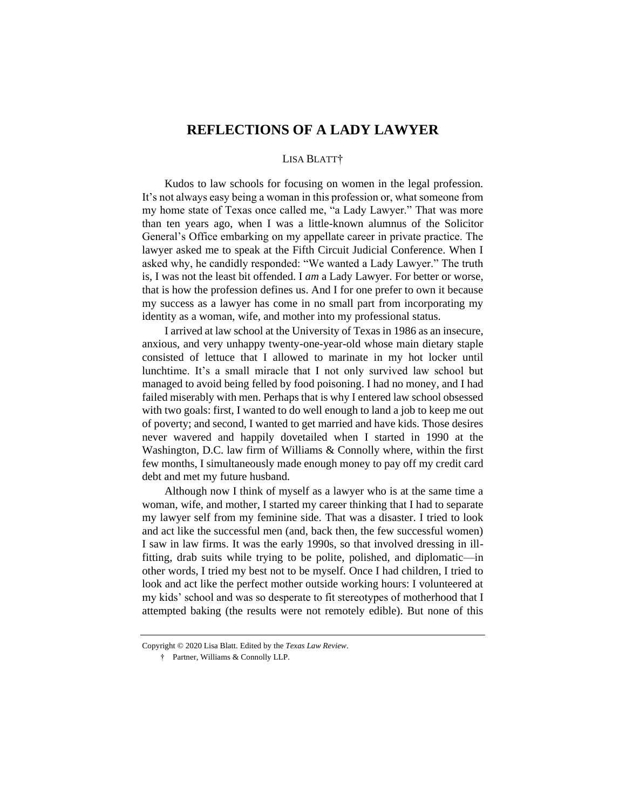## **REFLECTIONS OF A LADY LAWYER**

## LISA BLATT†

Kudos to law schools for focusing on women in the legal profession. It's not always easy being a woman in this profession or, what someone from my home state of Texas once called me, "a Lady Lawyer." That was more than ten years ago, when I was a little-known alumnus of the Solicitor General's Office embarking on my appellate career in private practice. The lawyer asked me to speak at the Fifth Circuit Judicial Conference. When I asked why, he candidly responded: "We wanted a Lady Lawyer." The truth is, I was not the least bit offended. I *am* a Lady Lawyer. For better or worse, that is how the profession defines us. And I for one prefer to own it because my success as a lawyer has come in no small part from incorporating my identity as a woman, wife, and mother into my professional status.

I arrived at law school at the University of Texas in 1986 as an insecure, anxious, and very unhappy twenty-one-year-old whose main dietary staple consisted of lettuce that I allowed to marinate in my hot locker until lunchtime. It's a small miracle that I not only survived law school but managed to avoid being felled by food poisoning. I had no money, and I had failed miserably with men. Perhaps that is why I entered law school obsessed with two goals: first, I wanted to do well enough to land a job to keep me out of poverty; and second, I wanted to get married and have kids. Those desires never wavered and happily dovetailed when I started in 1990 at the Washington, D.C. law firm of Williams & Connolly where, within the first few months, I simultaneously made enough money to pay off my credit card debt and met my future husband.

Although now I think of myself as a lawyer who is at the same time a woman, wife, and mother, I started my career thinking that I had to separate my lawyer self from my feminine side. That was a disaster. I tried to look and act like the successful men (and, back then, the few successful women) I saw in law firms. It was the early 1990s, so that involved dressing in illfitting, drab suits while trying to be polite, polished, and diplomatic—in other words, I tried my best not to be myself. Once I had children, I tried to look and act like the perfect mother outside working hours: I volunteered at my kids' school and was so desperate to fit stereotypes of motherhood that I attempted baking (the results were not remotely edible). But none of this

Copyright © 2020 Lisa Blatt. Edited by the *Texas Law Review*.

<sup>†</sup> Partner, Williams & Connolly LLP.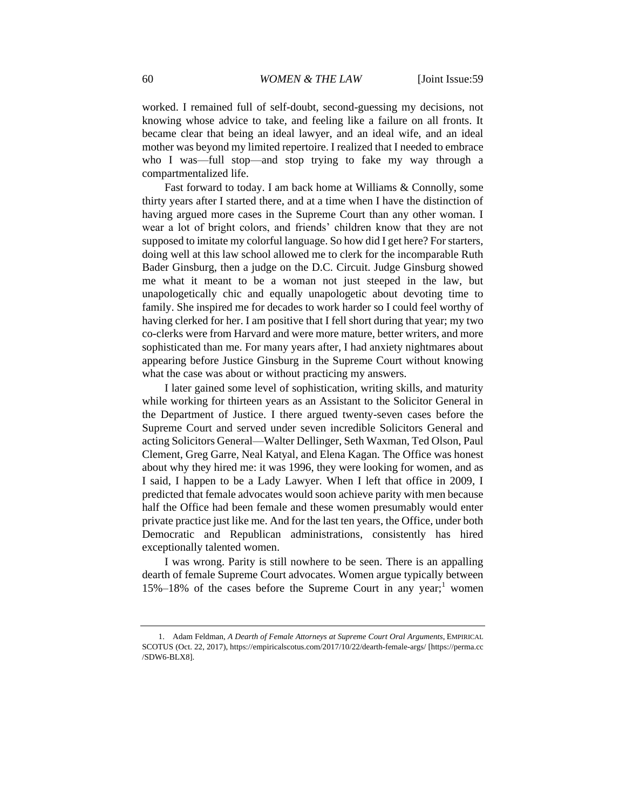worked. I remained full of self-doubt, second-guessing my decisions, not knowing whose advice to take, and feeling like a failure on all fronts. It became clear that being an ideal lawyer, and an ideal wife, and an ideal mother was beyond my limited repertoire. I realized that I needed to embrace who I was—full stop—and stop trying to fake my way through a compartmentalized life.

Fast forward to today. I am back home at Williams & Connolly, some thirty years after I started there, and at a time when I have the distinction of having argued more cases in the Supreme Court than any other woman. I wear a lot of bright colors, and friends' children know that they are not supposed to imitate my colorful language. So how did I get here? For starters, doing well at this law school allowed me to clerk for the incomparable Ruth Bader Ginsburg, then a judge on the D.C. Circuit. Judge Ginsburg showed me what it meant to be a woman not just steeped in the law, but unapologetically chic and equally unapologetic about devoting time to family. She inspired me for decades to work harder so I could feel worthy of having clerked for her. I am positive that I fell short during that year; my two co-clerks were from Harvard and were more mature, better writers, and more sophisticated than me. For many years after, I had anxiety nightmares about appearing before Justice Ginsburg in the Supreme Court without knowing what the case was about or without practicing my answers.

I later gained some level of sophistication, writing skills, and maturity while working for thirteen years as an Assistant to the Solicitor General in the Department of Justice. I there argued twenty-seven cases before the Supreme Court and served under seven incredible Solicitors General and acting Solicitors General—Walter Dellinger, Seth Waxman, Ted Olson, Paul Clement, Greg Garre, Neal Katyal, and Elena Kagan. The Office was honest about why they hired me: it was 1996, they were looking for women, and as I said, I happen to be a Lady Lawyer. When I left that office in 2009, I predicted that female advocates would soon achieve parity with men because half the Office had been female and these women presumably would enter private practice just like me. And for the last ten years, the Office, under both Democratic and Republican administrations, consistently has hired exceptionally talented women.

I was wrong. Parity is still nowhere to be seen. There is an appalling dearth of female Supreme Court advocates. Women argue typically between  $15\%$ – $18\%$  of the cases before the Supreme Court in any year;<sup>1</sup> women

<sup>1.</sup> Adam Feldman, *A Dearth of Female Attorneys at Supreme Court Oral Arguments*, EMPIRICAL SCOTUS (Oct. 22, 2017), https://empiricalscotus.com/2017/10/22/dearth-female-args/ [https://perma.cc /SDW6-BLX8].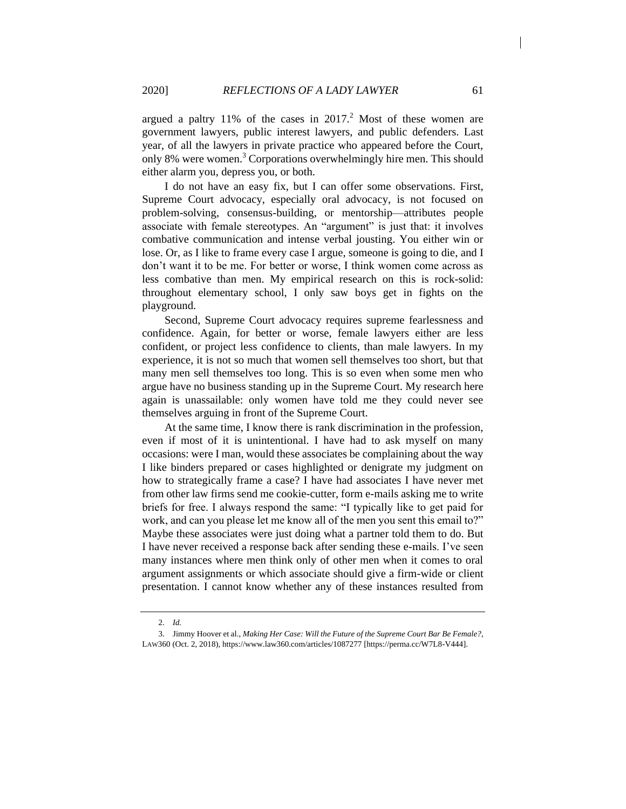argued a paltry  $11\%$  of the cases in  $2017<sup>2</sup>$  Most of these women are government lawyers, public interest lawyers, and public defenders. Last year, of all the lawyers in private practice who appeared before the Court, only 8% were women.<sup>3</sup> Corporations overwhelmingly hire men. This should either alarm you, depress you, or both.

I do not have an easy fix, but I can offer some observations. First, Supreme Court advocacy, especially oral advocacy, is not focused on problem-solving, consensus-building, or mentorship—attributes people associate with female stereotypes. An "argument" is just that: it involves combative communication and intense verbal jousting. You either win or lose. Or, as I like to frame every case I argue, someone is going to die, and I don't want it to be me. For better or worse, I think women come across as less combative than men. My empirical research on this is rock-solid: throughout elementary school, I only saw boys get in fights on the playground.

Second, Supreme Court advocacy requires supreme fearlessness and confidence. Again, for better or worse, female lawyers either are less confident, or project less confidence to clients, than male lawyers. In my experience, it is not so much that women sell themselves too short, but that many men sell themselves too long. This is so even when some men who argue have no business standing up in the Supreme Court. My research here again is unassailable: only women have told me they could never see themselves arguing in front of the Supreme Court.

At the same time, I know there is rank discrimination in the profession, even if most of it is unintentional. I have had to ask myself on many occasions: were I man, would these associates be complaining about the way I like binders prepared or cases highlighted or denigrate my judgment on how to strategically frame a case? I have had associates I have never met from other law firms send me cookie-cutter, form e-mails asking me to write briefs for free. I always respond the same: "I typically like to get paid for work, and can you please let me know all of the men you sent this email to?" Maybe these associates were just doing what a partner told them to do. But I have never received a response back after sending these e-mails. I've seen many instances where men think only of other men when it comes to oral argument assignments or which associate should give a firm-wide or client presentation. I cannot know whether any of these instances resulted from

<sup>2.</sup> *Id.*

<sup>3.</sup> Jimmy Hoover et al., *Making Her Case: Will the Future of the Supreme Court Bar Be Female?*, LAW360 (Oct. 2, 2018), https://www.law360.com/articles/1087277 [https://perma.cc/W7L8-V444].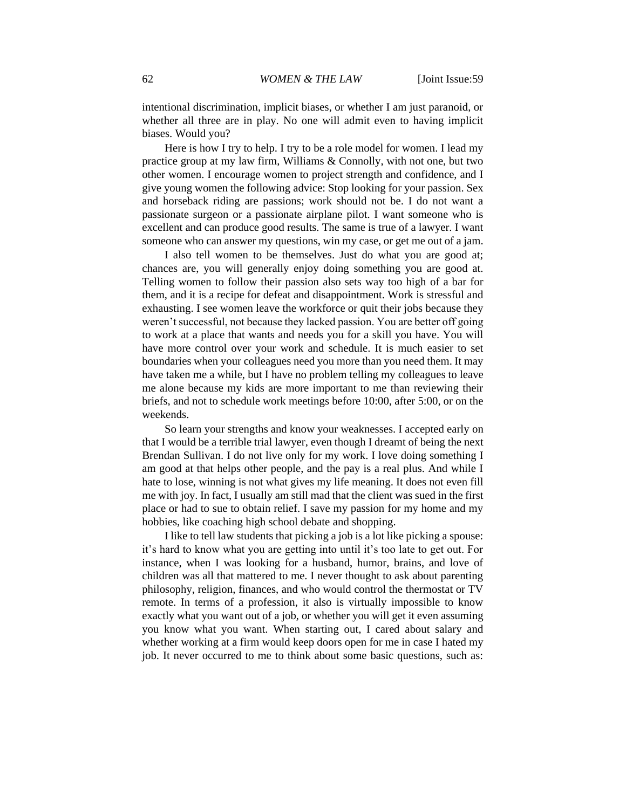intentional discrimination, implicit biases, or whether I am just paranoid, or whether all three are in play. No one will admit even to having implicit biases. Would you?

Here is how I try to help. I try to be a role model for women. I lead my practice group at my law firm, Williams & Connolly, with not one, but two other women. I encourage women to project strength and confidence, and I give young women the following advice: Stop looking for your passion. Sex and horseback riding are passions; work should not be. I do not want a passionate surgeon or a passionate airplane pilot. I want someone who is excellent and can produce good results. The same is true of a lawyer. I want someone who can answer my questions, win my case, or get me out of a jam.

I also tell women to be themselves. Just do what you are good at; chances are, you will generally enjoy doing something you are good at. Telling women to follow their passion also sets way too high of a bar for them, and it is a recipe for defeat and disappointment. Work is stressful and exhausting. I see women leave the workforce or quit their jobs because they weren't successful, not because they lacked passion. You are better off going to work at a place that wants and needs you for a skill you have. You will have more control over your work and schedule. It is much easier to set boundaries when your colleagues need you more than you need them. It may have taken me a while, but I have no problem telling my colleagues to leave me alone because my kids are more important to me than reviewing their briefs, and not to schedule work meetings before 10:00, after 5:00, or on the weekends.

So learn your strengths and know your weaknesses. I accepted early on that I would be a terrible trial lawyer, even though I dreamt of being the next Brendan Sullivan. I do not live only for my work. I love doing something I am good at that helps other people, and the pay is a real plus. And while I hate to lose, winning is not what gives my life meaning. It does not even fill me with joy. In fact, I usually am still mad that the client was sued in the first place or had to sue to obtain relief. I save my passion for my home and my hobbies, like coaching high school debate and shopping.

I like to tell law students that picking a job is a lot like picking a spouse: it's hard to know what you are getting into until it's too late to get out. For instance, when I was looking for a husband, humor, brains, and love of children was all that mattered to me. I never thought to ask about parenting philosophy, religion, finances, and who would control the thermostat or TV remote. In terms of a profession, it also is virtually impossible to know exactly what you want out of a job, or whether you will get it even assuming you know what you want. When starting out, I cared about salary and whether working at a firm would keep doors open for me in case I hated my job. It never occurred to me to think about some basic questions, such as: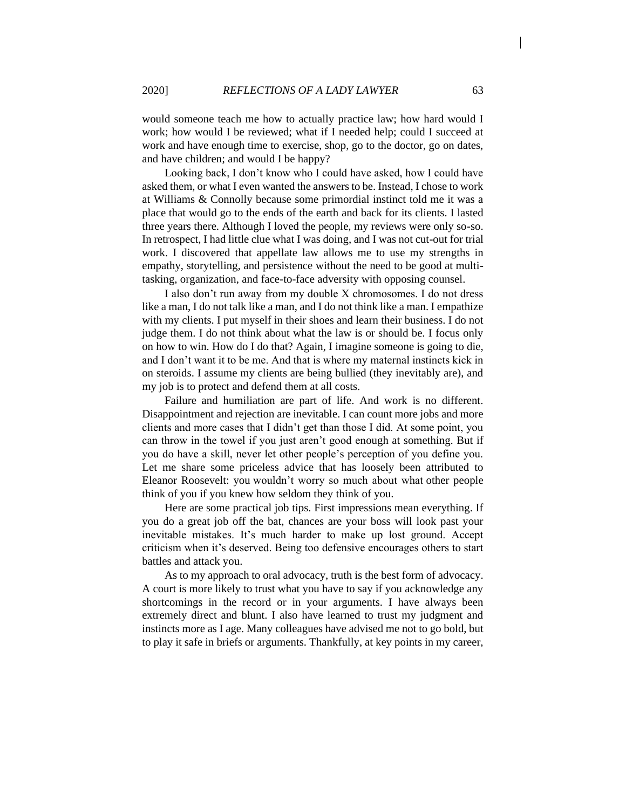would someone teach me how to actually practice law; how hard would I work; how would I be reviewed; what if I needed help; could I succeed at work and have enough time to exercise, shop, go to the doctor, go on dates, and have children; and would I be happy?

Looking back, I don't know who I could have asked, how I could have asked them, or what I even wanted the answers to be. Instead, I chose to work at Williams & Connolly because some primordial instinct told me it was a place that would go to the ends of the earth and back for its clients. I lasted three years there. Although I loved the people, my reviews were only so-so. In retrospect, I had little clue what I was doing, and I was not cut-out for trial work. I discovered that appellate law allows me to use my strengths in empathy, storytelling, and persistence without the need to be good at multitasking, organization, and face-to-face adversity with opposing counsel.

I also don't run away from my double X chromosomes. I do not dress like a man, I do not talk like a man, and I do not think like a man. I empathize with my clients. I put myself in their shoes and learn their business. I do not judge them. I do not think about what the law is or should be. I focus only on how to win. How do I do that? Again, I imagine someone is going to die, and I don't want it to be me. And that is where my maternal instincts kick in on steroids. I assume my clients are being bullied (they inevitably are), and my job is to protect and defend them at all costs.

Failure and humiliation are part of life. And work is no different. Disappointment and rejection are inevitable. I can count more jobs and more clients and more cases that I didn't get than those I did. At some point, you can throw in the towel if you just aren't good enough at something. But if you do have a skill, never let other people's perception of you define you. Let me share some priceless advice that has loosely been attributed to Eleanor Roosevelt: you wouldn't worry so much about what other people think of you if you knew how seldom they think of you.

Here are some practical job tips. First impressions mean everything. If you do a great job off the bat, chances are your boss will look past your inevitable mistakes. It's much harder to make up lost ground. Accept criticism when it's deserved. Being too defensive encourages others to start battles and attack you.

As to my approach to oral advocacy, truth is the best form of advocacy. A court is more likely to trust what you have to say if you acknowledge any shortcomings in the record or in your arguments. I have always been extremely direct and blunt. I also have learned to trust my judgment and instincts more as I age. Many colleagues have advised me not to go bold, but to play it safe in briefs or arguments. Thankfully, at key points in my career,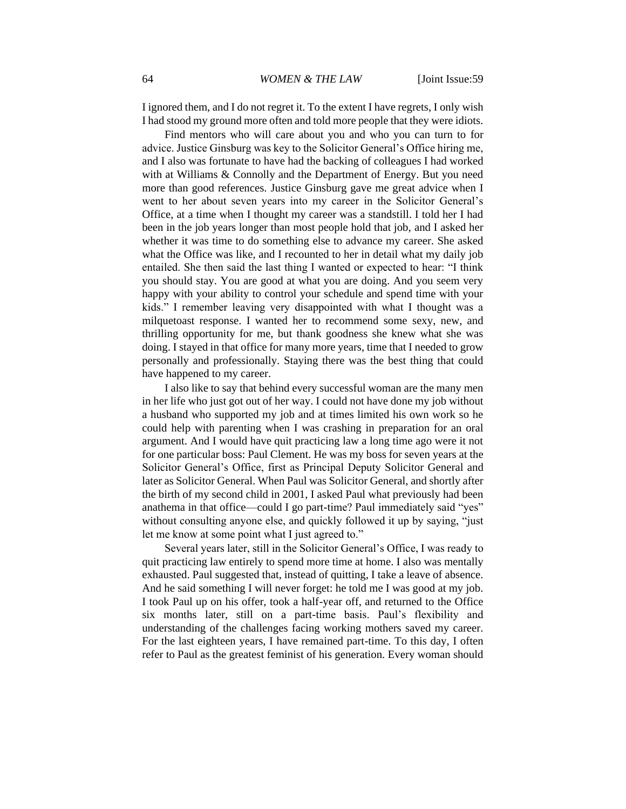I ignored them, and I do not regret it. To the extent I have regrets, I only wish I had stood my ground more often and told more people that they were idiots.

Find mentors who will care about you and who you can turn to for advice. Justice Ginsburg was key to the Solicitor General's Office hiring me, and I also was fortunate to have had the backing of colleagues I had worked with at Williams & Connolly and the Department of Energy. But you need more than good references. Justice Ginsburg gave me great advice when I went to her about seven years into my career in the Solicitor General's Office, at a time when I thought my career was a standstill. I told her I had been in the job years longer than most people hold that job, and I asked her whether it was time to do something else to advance my career. She asked what the Office was like, and I recounted to her in detail what my daily job entailed. She then said the last thing I wanted or expected to hear: "I think you should stay. You are good at what you are doing. And you seem very happy with your ability to control your schedule and spend time with your kids." I remember leaving very disappointed with what I thought was a milquetoast response. I wanted her to recommend some sexy, new, and thrilling opportunity for me, but thank goodness she knew what she was doing. I stayed in that office for many more years, time that I needed to grow personally and professionally. Staying there was the best thing that could have happened to my career.

I also like to say that behind every successful woman are the many men in her life who just got out of her way. I could not have done my job without a husband who supported my job and at times limited his own work so he could help with parenting when I was crashing in preparation for an oral argument. And I would have quit practicing law a long time ago were it not for one particular boss: Paul Clement. He was my boss for seven years at the Solicitor General's Office, first as Principal Deputy Solicitor General and later as Solicitor General. When Paul was Solicitor General, and shortly after the birth of my second child in 2001, I asked Paul what previously had been anathema in that office—could I go part-time? Paul immediately said "yes" without consulting anyone else, and quickly followed it up by saying, "just let me know at some point what I just agreed to."

Several years later, still in the Solicitor General's Office, I was ready to quit practicing law entirely to spend more time at home. I also was mentally exhausted. Paul suggested that, instead of quitting, I take a leave of absence. And he said something I will never forget: he told me I was good at my job. I took Paul up on his offer, took a half-year off, and returned to the Office six months later, still on a part-time basis. Paul's flexibility and understanding of the challenges facing working mothers saved my career. For the last eighteen years, I have remained part-time. To this day, I often refer to Paul as the greatest feminist of his generation. Every woman should